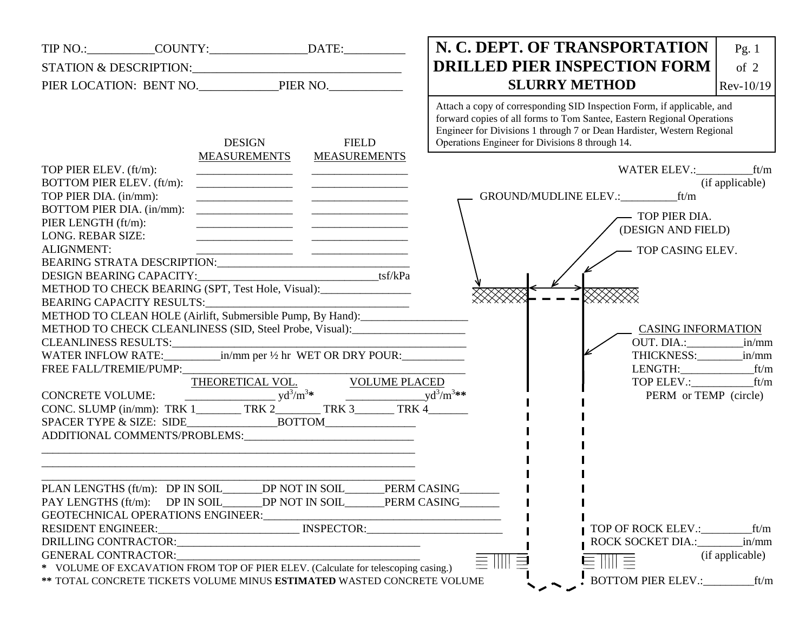| TIP NO.: _____________COUNTY:_____________________DATE:__________________________                                                                                                                                                                                                                                                                                                                                                                                                                                                                                                                                                                                                                                             |                                                                                                                          |                                                                                                                                                              | N. C. DEPT. OF TRANSPORTATION                                                                                                                                                                                                                                                                                                                                                                                                                                                | Pg. 1           |
|-------------------------------------------------------------------------------------------------------------------------------------------------------------------------------------------------------------------------------------------------------------------------------------------------------------------------------------------------------------------------------------------------------------------------------------------------------------------------------------------------------------------------------------------------------------------------------------------------------------------------------------------------------------------------------------------------------------------------------|--------------------------------------------------------------------------------------------------------------------------|--------------------------------------------------------------------------------------------------------------------------------------------------------------|------------------------------------------------------------------------------------------------------------------------------------------------------------------------------------------------------------------------------------------------------------------------------------------------------------------------------------------------------------------------------------------------------------------------------------------------------------------------------|-----------------|
|                                                                                                                                                                                                                                                                                                                                                                                                                                                                                                                                                                                                                                                                                                                               |                                                                                                                          |                                                                                                                                                              | <b>DRILLED PIER INSPECTION FORM</b>                                                                                                                                                                                                                                                                                                                                                                                                                                          | of $2$          |
|                                                                                                                                                                                                                                                                                                                                                                                                                                                                                                                                                                                                                                                                                                                               |                                                                                                                          |                                                                                                                                                              | <b>SLURRY METHOD</b>                                                                                                                                                                                                                                                                                                                                                                                                                                                         | Rev-10/19       |
| TOP PIER ELEV. (ft/m):<br>BOTTOM PIER ELEV. (ft/m):<br>TOP PIER DIA. (in/mm):<br>BOTTOM PIER DIA. (in/mm):<br>PIER LENGTH (ft/m):<br><b>LONG. REBAR SIZE:</b><br><b>ALIGNMENT:</b><br>METHOD TO CHECK BEARING (SPT, Test Hole, Visual):<br>METHOD TO CLEAN HOLE (Airlift, Submersible Pump, By Hand):<br>METHOD TO CHECK CLEANLINESS (SID, Steel Probe, Visual): ________________________<br>$\begin{tabular}{l c c c c c} \hline & \multicolumn{3}{c }{THEORETICAL \; VOL.} & \multicolumn{3}{c }{VOLUME \; PLACED} \\ CONC. \; SLUMP \; (in/mm): \; TRK \; 1 \; \hspace{1.5cm} \hspace{1.5cm} TRK \; 2 \; \hspace{1.5cm} \hspace{1.5cm} TRK \; 3 \; \hspace{1.5cm} \hspace{1.5cm} TRK \; 4 \; \hspace{1.5cm} \end{tabular}$ | <b>DESIGN</b><br><b>MEASUREMENTS</b>                                                                                     | <b>FIELD</b><br><b>MEASUREMENTS</b><br><u> 2000 - Jan James James Barbara, menyebaran bagian perang bagian perang perang perang perang perang perang per</u> | Attach a copy of corresponding SID Inspection Form, if applicable, and<br>forward copies of all forms to Tom Santee, Eastern Regional Operations<br>Engineer for Divisions 1 through 7 or Dean Hardister, Western Regional<br>Operations Engineer for Divisions 8 through 14.<br>GROUND/MUDLINE ELEV.:___________ ft/m<br>TOP PIER DIA.<br>(DESIGN AND FIELD)<br>- TOP CASING ELEV.<br><b>CASING INFORMATION</b><br>LENGTH: ft/m<br>TOP ELEV.: ft/m<br>PERM or TEMP (circle) | (if applicable) |
|                                                                                                                                                                                                                                                                                                                                                                                                                                                                                                                                                                                                                                                                                                                               |                                                                                                                          |                                                                                                                                                              |                                                                                                                                                                                                                                                                                                                                                                                                                                                                              |                 |
| PLAN LENGTHS (ft/m): DP IN SOIL<br>PAY LENGTHS (ft/m): DP IN SOIL DP NOT IN SOIL PERM CASING                                                                                                                                                                                                                                                                                                                                                                                                                                                                                                                                                                                                                                  |                                                                                                                          | DP NOT IN SOIL<br>PERM CASING                                                                                                                                |                                                                                                                                                                                                                                                                                                                                                                                                                                                                              |                 |
| RESIDENT ENGINEER:______________________________ INSPECTOR:_____________________<br>DRILLING CONTRACTOR:                                                                                                                                                                                                                                                                                                                                                                                                                                                                                                                                                                                                                      | <u> 1980 - Jan James James Bernard Bernard Bernard Bernard Bernard Bernard Bernard Bernard Bernard Bernard Bernard B</u> |                                                                                                                                                              | ROCK SOCKET DIA.:                                                                                                                                                                                                                                                                                                                                                                                                                                                            | in/mm           |
| <b>GENERAL CONTRACTOR:</b><br>* VOLUME OF EXCAVATION FROM TOP OF PIER ELEV. (Calculate for telescoping casing.)                                                                                                                                                                                                                                                                                                                                                                                                                                                                                                                                                                                                               |                                                                                                                          |                                                                                                                                                              |                                                                                                                                                                                                                                                                                                                                                                                                                                                                              | (if applicable) |
| ** TOTAL CONCRETE TICKETS VOLUME MINUS ESTIMATED WASTED CONCRETE VOLUME                                                                                                                                                                                                                                                                                                                                                                                                                                                                                                                                                                                                                                                       |                                                                                                                          |                                                                                                                                                              | BOTTOM PIER ELEV.:____________ft/m                                                                                                                                                                                                                                                                                                                                                                                                                                           |                 |